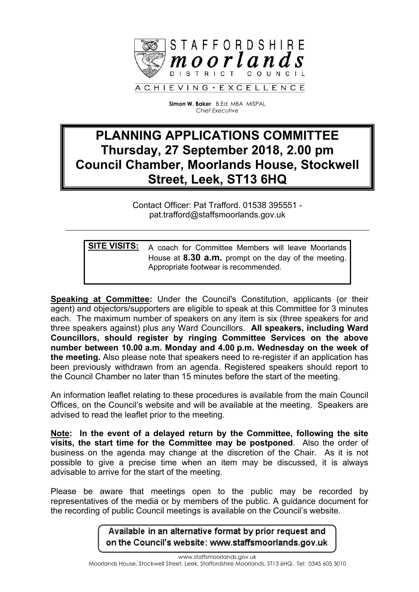

**Simon W. Baker** B.Ed MBA MISPAL *Chief Executive*

## **PLANNING APPLICATIONS COMMITTEE Thursday, 27 September 2018, 2.00 pm Council Chamber, Moorlands House, Stockwell Street, Leek, ST13 6HQ**

Contact Officer: Pat Trafford. 01538 395551 pat.trafford@staffsmoorlands.gov.uk

**SITE VISITS:** A coach for Committee Members will leave Moorlands House at **8.30 a.m.** prompt on the day of the meeting. Appropriate footwear is recommended.

**Speaking at Committee:** Under the Council's Constitution, applicants (or their agent) and objectors/supporters are eligible to speak at this Committee for 3 minutes each. The maximum number of speakers on any item is six (three speakers for and three speakers against) plus any Ward Councillors. **All speakers, including Ward Councillors, should register by ringing Committee Services on the above number between 10.00 a.m. Monday and 4.00 p.m. Wednesday on the week of the meeting.** Also please note that speakers need to re-register if an application has been previously withdrawn from an agenda. Registered speakers should report to the Council Chamber no later than 15 minutes before the start of the meeting.

An information leaflet relating to these procedures is available from the main Council Offices, on the Council's website and will be available at the meeting. Speakers are advised to read the leaflet prior to the meeting.

**Note: In the event of a delayed return by the Committee, following the site visits, the start time for the Committee may be postponed**. Also the order of business on the agenda may change at the discretion of the Chair. As it is not possible to give a precise time when an item may be discussed, it is always advisable to arrive for the start of the meeting.

Please be aware that meetings open to the public may be recorded by representatives of the media or by members of the public. A guidance document for the recording of public Council meetings is available on the Council's website.

> Available in an alternative format by prior request and on the Council's website: www.staffsmoorlands.gov.uk

www.staffsmoorlands.gov.uk Moorlands House, Stockwell Street, Leek, Staffordshire Moorlands, ST13 6HQ. Tel: 0345 605 3010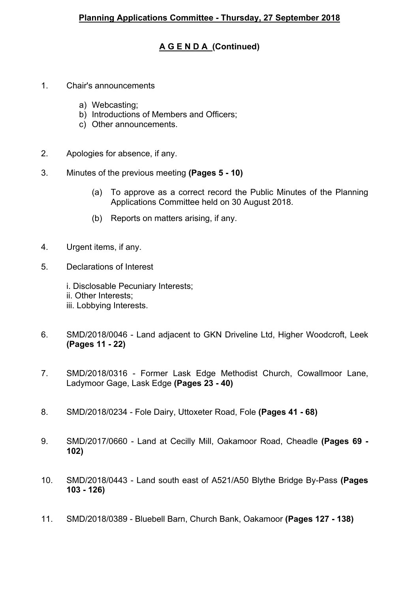## **A G E N D A (Continued)**

- 1. Chair's announcements
	- a) Webcasting;
	- b) Introductions of Members and Officers;
	- c) Other announcements.
- 2. Apologies for absence, if any.
- 3. Minutes of the previous meeting **(Pages 5 - 10)**
	- (a) To approve as a correct record the Public Minutes of the Planning Applications Committee held on 30 August 2018.
	- (b) Reports on matters arising, if any.
- 4. Urgent items, if any.
- 5. Declarations of Interest
	- i. Disclosable Pecuniary Interests; ii. Other Interests; iii. Lobbying Interests.
- 6. SMD/2018/0046 Land adjacent to GKN Driveline Ltd, Higher Woodcroft, Leek **(Pages 11 - 22)**
- 7. SMD/2018/0316 Former Lask Edge Methodist Church, Cowallmoor Lane, Ladymoor Gage, Lask Edge **(Pages 23 - 40)**
- 8. SMD/2018/0234 Fole Dairy, Uttoxeter Road, Fole **(Pages 41 - 68)**
- 9. SMD/2017/0660 Land at Cecilly Mill, Oakamoor Road, Cheadle **(Pages 69 - 102)**
- 10. SMD/2018/0443 Land south east of A521/A50 Blythe Bridge By-Pass **(Pages 103 - 126)**
- 11. SMD/2018/0389 Bluebell Barn, Church Bank, Oakamoor **(Pages 127 - 138)**